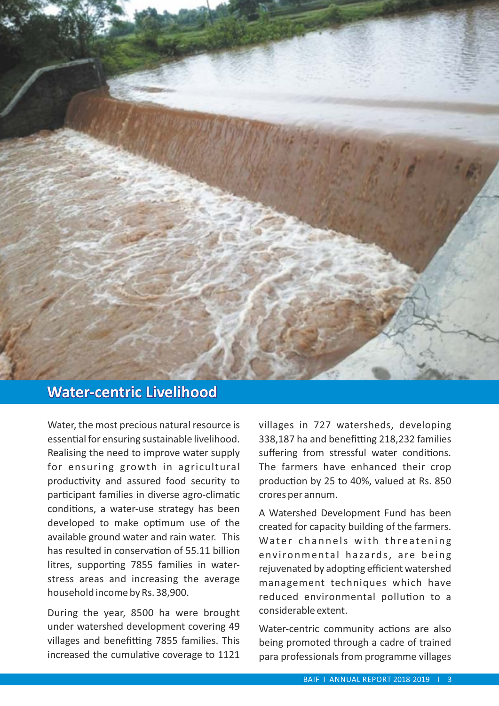

## **Water-centric Livelihood**

Water, the most precious natural resource is essential for ensuring sustainable livelihood. Realising the need to improve water supply for ensuring growth in agricultural productivity and assured food security to participant families in diverse agro-climatic conditions, a water-use strategy has been developed to make optimum use of the available ground water and rain water. This has resulted in conservation of 55.11 billion litres, supporting 7855 families in waterstress areas and increasing the average household income by Rs. 38,900.

During the year, 8500 ha were brought under watershed development covering 49 villages and benefitting 7855 families. This increased the cumulative coverage to 1121 villages in 727 watersheds, developing 338,187 ha and benefitting 218,232 families suffering from stressful water conditions. The farmers have enhanced their crop production by 25 to 40%, valued at Rs. 850 crores per annum.

A Watershed Development Fund has been created for capacity building of the farmers. Water channels with threatening environmental hazards, are being rejuvenated by adopting efficient watershed management techniques which have reduced environmental pollution to a considerable extent.

Water-centric community actions are also being promoted through a cadre of trained para professionals from programme villages